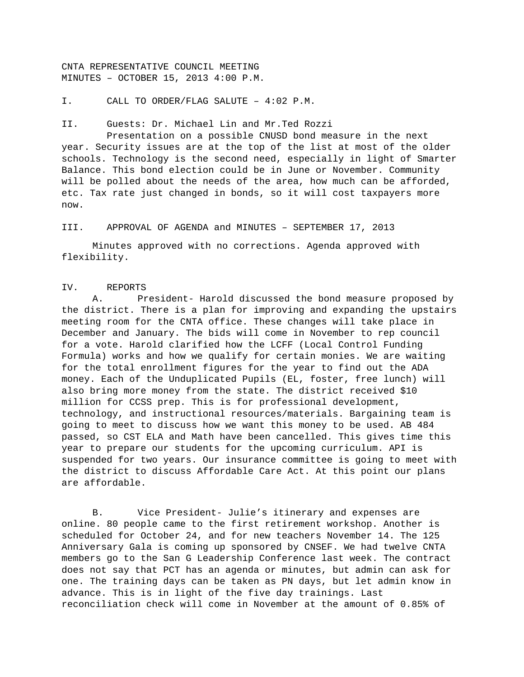CNTA REPRESENTATIVE COUNCIL MEETING MINUTES – OCTOBER 15, 2013 4:00 P.M.

I. CALL TO ORDER/FLAG SALUTE – 4:02 P.M.

II. Guests: Dr. Michael Lin and Mr.Ted Rozzi

 Presentation on a possible CNUSD bond measure in the next year. Security issues are at the top of the list at most of the older schools. Technology is the second need, especially in light of Smarter Balance. This bond election could be in June or November. Community will be polled about the needs of the area, how much can be afforded, etc. Tax rate just changed in bonds, so it will cost taxpayers more now.

III. APPROVAL OF AGENDA and MINUTES – SEPTEMBER 17, 2013

 Minutes approved with no corrections. Agenda approved with flexibility.

## IV. REPORTS

 A. President- Harold discussed the bond measure proposed by the district. There is a plan for improving and expanding the upstairs meeting room for the CNTA office. These changes will take place in December and January. The bids will come in November to rep council for a vote. Harold clarified how the LCFF (Local Control Funding Formula) works and how we qualify for certain monies. We are waiting for the total enrollment figures for the year to find out the ADA money. Each of the Unduplicated Pupils (EL, foster, free lunch) will also bring more money from the state. The district received \$10 million for CCSS prep. This is for professional development, technology, and instructional resources/materials. Bargaining team is going to meet to discuss how we want this money to be used. AB 484 passed, so CST ELA and Math have been cancelled. This gives time this year to prepare our students for the upcoming curriculum. API is suspended for two years. Our insurance committee is going to meet with the district to discuss Affordable Care Act. At this point our plans are affordable.

 B. Vice President- Julie's itinerary and expenses are online. 80 people came to the first retirement workshop. Another is scheduled for October 24, and for new teachers November 14. The 125 Anniversary Gala is coming up sponsored by CNSEF. We had twelve CNTA members go to the San G Leadership Conference last week. The contract does not say that PCT has an agenda or minutes, but admin can ask for one. The training days can be taken as PN days, but let admin know in advance. This is in light of the five day trainings. Last reconciliation check will come in November at the amount of 0.85% of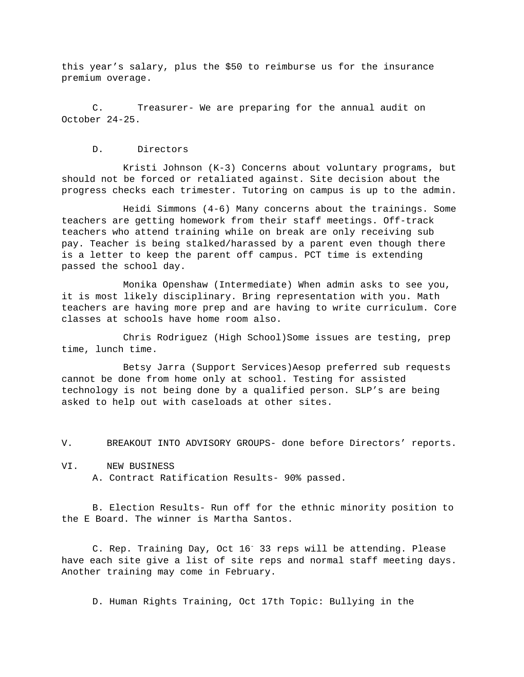this year's salary, plus the \$50 to reimburse us for the insurance premium overage.

 C. Treasurer- We are preparing for the annual audit on October 24-25.

D. Directors

 Kristi Johnson (K-3) Concerns about voluntary programs, but should not be forced or retaliated against. Site decision about the progress checks each trimester. Tutoring on campus is up to the admin.

 Heidi Simmons (4-6) Many concerns about the trainings. Some teachers are getting homework from their staff meetings. Off-track teachers who attend training while on break are only receiving sub pay. Teacher is being stalked/harassed by a parent even though there is a letter to keep the parent off campus. PCT time is extending passed the school day.

 Monika Openshaw (Intermediate) When admin asks to see you, it is most likely disciplinary. Bring representation with you. Math teachers are having more prep and are having to write curriculum. Core classes at schools have home room also.

 Chris Rodriguez (High School)Some issues are testing, prep time, lunch time.

 Betsy Jarra (Support Services)Aesop preferred sub requests cannot be done from home only at school. Testing for assisted technology is not being done by a qualified person. SLP's are being asked to help out with caseloads at other sites.

V. BREAKOUT INTO ADVISORY GROUPS- done before Directors' reports.

VI. NEW BUSINESS A. Contract Ratification Results- 90% passed.

 B. Election Results- Run off for the ethnic minority position to the E Board. The winner is Martha Santos.

C. Rep. Training Day, Oct 16<sup>-</sup> 33 reps will be attending. Please have each site give a list of site reps and normal staff meeting days. Another training may come in February.

D. Human Rights Training, Oct 17th Topic: Bullying in the